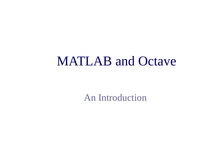### MATLAB and Octave

An Introduction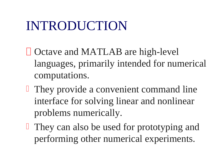# INTRODUCTION

- **□ Octave and MATLAB are high-level** languages, primarily intended for numerical computations.
- **They provide a convenient command line** interface for solving linear and nonlinear problems numerically.
- **They can also be used for prototyping and** performing other numerical experiments.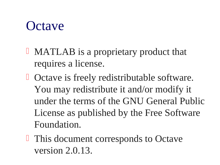## **Octave**

- **I** MATLAB is a proprietary product that requires a license.
- **D** Octave is freely redistributable software. You may redistribute it and/or modify it under the terms of the GNU General Public License as published by the Free Software Foundation.
- **This document corresponds to Octave** version 2.0.13.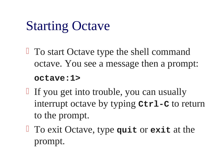# Starting Octave

- **To start Octave type the shell command** octave. You see a message then a prompt: **octave:1>**
- If you get into trouble, you can usually interrupt octave by typing **Ctrl-C** to return to the prompt.
- To exit Octave, type **quit** or **exit** at the prompt.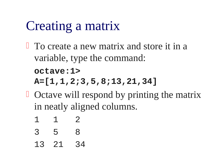# Creating a matrix

- **To create a new matrix and store it in a** variable, type the command: **octave:1> A=[1,1,2;3,5,8;13,21,34]**
- $\Box$  Octave will respond by printing the matrix in neatly aligned columns.
	- 1 1 2
	- 3 5 8
	- 13 21 34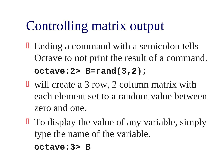# Controlling matrix output

- $\Box$  Ending a command with a semicolon tells Octave to not print the result of a command. **octave:2> B=rand(3,2);**
- **U** will create a 3 row, 2 column matrix with each element set to a random value between zero and one.
- **□** To display the value of any variable, simply type the name of the variable. **octave:3> B**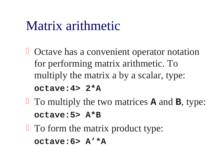## Matrix arithmetic

- **D** Octave has a convenient operator notation for performing matrix arithmetic. To multiply the matrix a by a scalar, type: **octave:4> 2\*A**
- To multiply the two matrices **A** and **B**, type: **octave:5> A\*B**
- **To form the matrix product type: octave:6> A'\*A**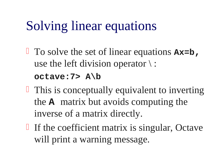# Solving linear equations

- To solve the set of linear equations **Ax=b,** use the left division operator  $\langle$ : **octave:7> A\b**
- $\Box$  This is conceptually equivalent to inverting the **A** matrix but avoids computing the inverse of a matrix directly.
- If the coefficient matrix is singular, Octave will print a warning message.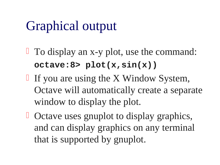# Graphical output

- To display an x-y plot, use the command: **octave:8> plot(x,sin(x))**
- If you are using the  $X$  Window System, Octave will automatically create a separate window to display the plot.
- **D** Octave uses gnuplot to display graphics, and can display graphics on any terminal that is supported by gnuplot.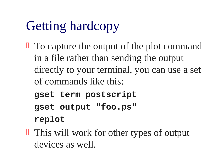# Getting hardcopy

- $\Box$  To capture the output of the plot command in a file rather than sending the output directly to your terminal, you can use a set of commands like this:
	- **gset term postscript gset output "foo.ps" replot**
- **This will work for other types of output** devices as well.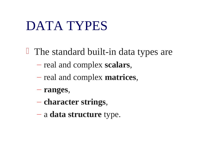## DATA TYPES

**The standard built-in data types are** 

- real and complex **scalars**,
- real and complex **matrices**,
- **ranges**,
- **character strings**,
- a **data structure** type.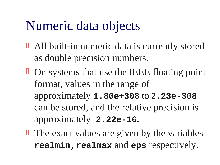# Numeric data objects

- All built-in numeric data is currently stored as double precision numbers.
- **D** On systems that use the IEEE floating point format, values in the range of approximately **1.80e+308** to **2.23e-308** can be stored, and the relative precision is approximately **2.22e-16.**
- $\Box$  The exact values are given by the variables **realmin,realmax** and **eps** respectively.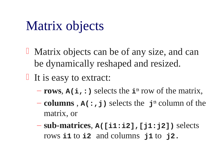# Matrix objects

- **I** Matrix objects can be of any size, and can be dynamically reshaped and resized.
- $\Box$  It is easy to extract:
	- **rows**, **A(i,:)** selects the **ith** row of the matrix,
	- **columns** , **A(:,j)** selects the **jth** column of the matrix, or
	- **sub-matrices**, **A([i1:i2],[j1:j2])** selects rows **i1** to **i2** and columns **j1** to **j2.**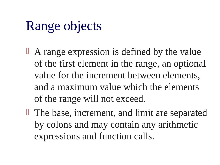# Range objects

- <sup>1</sup> A range expression is defined by the value of the first element in the range, an optional value for the increment between elements, and a maximum value which the elements of the range will not exceed.
- **The base, increment, and limit are separated** by colons and may contain any arithmetic expressions and function calls.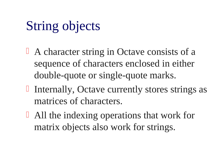# String objects

- $\perp$  A character string in Octave consists of a sequence of characters enclosed in either double-quote or single-quote marks.
- $\Box$  Internally, Octave currently stores strings as matrices of characters.
- All the indexing operations that work for matrix objects also work for strings.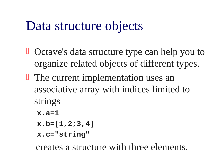# Data structure objects

- **U** Octave's data structure type can help you to organize related objects of different types.
- **The current implementation uses an** associative array with indices limited to strings
	- **x.a=1**
	- **x.b=[1,2;3,4]**
	- **x.c="string"**

creates a structure with three elements.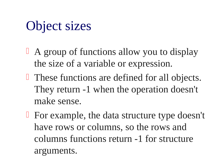# Object sizes

- <sup>1</sup> A group of functions allow you to display the size of a variable or expression.
- **These functions are defined for all objects.** They return -1 when the operation doesn't make sense.
- $\Box$  For example, the data structure type doesn't have rows or columns, so the rows and columns functions return -1 for structure arguments.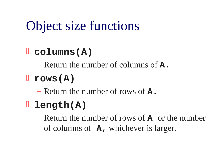# Object size functions

# **columns(A)**

– Return the number of columns of **A.**

**rows(A)**

– Return the number of rows of **A.**

## **length(A)**

– Return the number of rows of **A** or the number of columns of **A,** whichever is larger.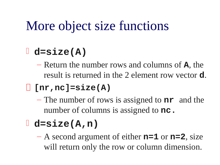# More object size functions

## **d=size(A)**

– Return the number rows and columns of **A**, the result is returned in the 2 element row vector **d**.

#### **[nr,nc]=size(A)**

– The number of rows is assigned to **nr** and the number of columns is assigned to **nc.**

## **d=size(A,n)**

– A second argument of either **n=1** or **n=2**, size will return only the row or column dimension.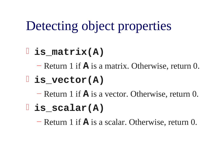# Detecting object properties

## **is\_matrix(A)**

– Return 1 if **A** is a matrix. Otherwise, return 0.

## **is\_vector(A)**

– Return 1 if **A** is a vector. Otherwise, return 0.

### **is\_scalar(A)**

– Return 1 if **A** is a scalar. Otherwise, return 0.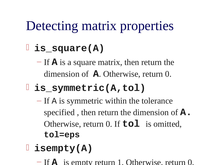# Detecting matrix properties

## **is\_square(A)**

– If **A** is a square matrix, then return the dimension of **A**. Otherwise, return 0.

## **is\_symmetric(A,tol)**

– If A is symmetric within the tolerance specified , then return the dimension of **A.** Otherwise, return 0. If **tol** is omitted, **tol=eps** 

# **isempty(A)**

– If **A** is empty return 1. Otherwise, return 0.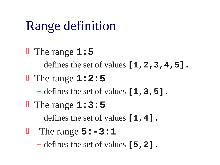# Range definition

 The range **1:5** – defines the set of values **[1,2,3,4,5].** The range **1:2:5** – defines the set of values **[1,3,5].** The range **1:3:5** – defines the set of values **[1,4].** The range **5:-3:1**

– defines the set of values **[5,2].**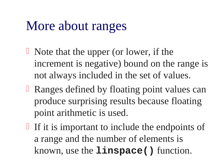# More about ranges

- $\Box$  Note that the upper (or lower, if the increment is negative) bound on the range is not always included in the set of values.
- **E** Ranges defined by floating point values can produce surprising results because floating point arithmetic is used.
- If it is important to include the endpoints of a range and the number of elements is known, use the **linspace()** function.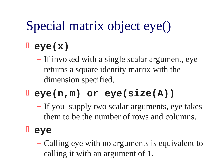# Special matrix object eye()

## **eye(x)**

– If invoked with a single scalar argument, eye returns a square identity matrix with the dimension specified.

# **eye(n,m) or eye(size(A))**

– If you supply two scalar arguments, eye takes them to be the number of rows and columns.

#### **eye**

– Calling eye with no arguments is equivalent to calling it with an argument of 1.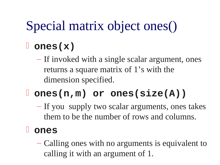# Special matrix object ones()

## **ones(x)**

– If invoked with a single scalar argument, ones returns a square matrix of 1's with the dimension specified.

## **ones(n,m) or ones(size(A))**

– If you supply two scalar arguments, ones takes them to be the number of rows and columns.

#### **ones**

– Calling ones with no arguments is equivalent to calling it with an argument of 1.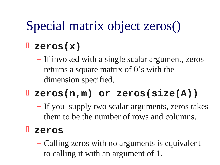# Special matrix object zeros()

#### **zeros(x)**

– If invoked with a single scalar argument, zeros returns a square matrix of 0's with the dimension specified.

# **zeros(n,m) or zeros(size(A))**

– If you supply two scalar arguments, zeros takes them to be the number of rows and columns.

#### **zeros**

– Calling zeros with no arguments is equivalent to calling it with an argument of 1.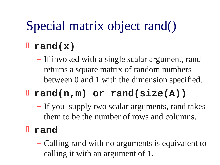# Special matrix object rand()

## **rand(x)**

– If invoked with a single scalar argument, rand returns a square matrix of random numbers between 0 and 1 with the dimension specified.

# **rand(n,m) or rand(size(A))**

– If you supply two scalar arguments, rand takes them to be the number of rows and columns.

#### **rand**

– Calling rand with no arguments is equivalent to calling it with an argument of 1.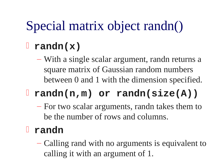# Special matrix object randn()

#### **randn(x)**

– With a single scalar argument, randn returns a square matrix of Gaussian random numbers between 0 and 1 with the dimension specified.

# **randn(n,m) or randn(size(A))**

– For two scalar arguments, randn takes them to be the number of rows and columns.

#### **randn**

– Calling rand with no arguments is equivalent to calling it with an argument of 1.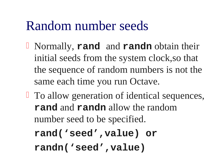## Random number seeds

- Normally, **rand** and **randn** obtain their initial seeds from the system clock,so that the sequence of random numbers is not the same each time you run Octave.
- **□** To allow generation of identical sequences, **rand** and **randn** allow the random number seed to be specified.
	- **rand('seed',value) or randn('seed',value)**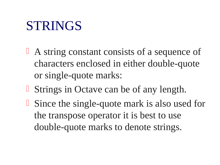## STRINGS

- <sup>1</sup> A string constant consists of a sequence of characters enclosed in either double-quote or single-quote marks:
- **Strings in Octave can be of any length.**
- **Since the single-quote mark is also used for** the transpose operator it is best to use double-quote marks to denote strings.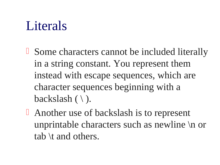# Literals

- **Some characters cannot be included literally** in a string constant. You represent them instead with escape sequences, which are character sequences beginning with a backslash  $( \setminus ).$
- **E** Another use of backslash is to represent unprintable characters such as newline \n or tab \t and others.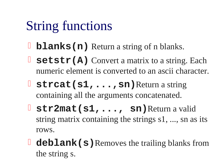# String functions

- **blanks(n)** Return a string of n blanks.
- **Setstr(A)** Convert a matrix to a string. Each numeric element is converted to an ascii character.
- **Strcat(s1, ..., sn)** Return a string containing all the arguments concatenated.
- **str2mat(s1,..., sn)**Return a valid string matrix containing the strings s1, ..., sn as its rows.
- **deblank (s)** Removes the trailing blanks from the string s.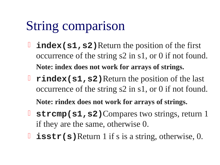# String comparison

- **l** index (s1, s2) Return the position of the first occurrence of the string s2 in s1, or 0 if not found. **Note: index does not work for arrays of strings.**
- **Findex (s1, s2)** Return the position of the last occurrence of the string s2 in s1, or 0 if not found.

**Note: rindex does not work for arrays of strings.**

- **Strcmp(s1, s2)**Compares two strings, return 1 if they are the same, otherwise 0.
- **l** isstr(s)Return 1 if s is a string, otherwise, 0.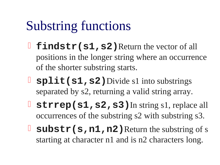# Substring functions

- **findstr(s1, s2)** Return the vector of all positions in the longer string where an occurrence of the shorter substring starts.
- **split(s1,s2)**Divide s1 into substrings separated by s2, returning a valid string array.
- **Strrep(s1, s2, s3)** In string s1, replace all occurrences of the substring s2 with substring s3.
- **Substr(s, n1, n2)** Return the substring of s starting at character n1 and is n2 characters long.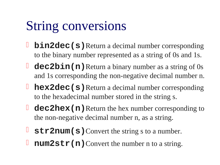# String conversions

- **bin2dec(s)**Return a decimal number corresponding to the binary number represented as a string of 0s and 1s.
- **dec2bin(n)** Return a binary number as a string of 0s and 1s corresponding the non-negative decimal number n.
- **hex2dec(s)**Return a decimal number corresponding to the hexadecimal number stored in the string s.
- **dec2hex (n)** Return the hex number corresponding to the non-negative decimal number n, as a string.
- **Str2num(s)** Convert the string s to a number.
- **num2str(n)**Convert the number n to a string.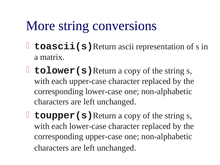# More string conversions

- **toascii(s)** Return ascii representation of s in a matrix.
- **tolower (s)** Return a copy of the string s, with each upper-case character replaced by the corresponding lower-case one; non-alphabetic characters are left unchanged.
- **toupper (s)** Return a copy of the string s, with each lower-case character replaced by the corresponding upper-case one; non-alphabetic characters are left unchanged.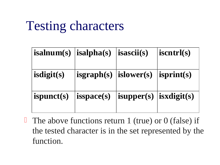# Testing characters

| isalnum(s)   isalpha(s)   isascii(s) |                                            |                                | <i>iscntrl(s)</i>  |
|--------------------------------------|--------------------------------------------|--------------------------------|--------------------|
| isdigit(s)                           | $\mid$ isgraph(s) $\mid$ islower(s) $\mid$ |                                | $\vert$ isprint(s) |
| ispunct(s)                           | $ $ isspace(s)                             | $ $ isupper(s) $ $ isxdigit(s) |                    |

The above functions return 1 (true) or 0 (false) if the tested character is in the set represented by the function.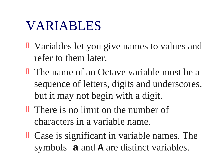### VARIABLES

- Variables let you give names to values and refer to them later.
- The name of an Octave variable must be a sequence of letters, digits and underscores, but it may not begin with a digit.
- **There is no limit on the number of** characters in a variable name.
- **Case is significant in variable names. The** symbols **a** and **A** are distinct variables.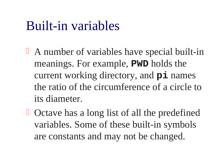### Built-in variables

- A number of variables have special built-in meanings. For example, **PWD** holds the current working directory, and **pi** names the ratio of the circumference of a circle to its diameter.
- **D** Octave has a long list of all the predefined variables. Some of these built-in symbols are constants and may not be changed.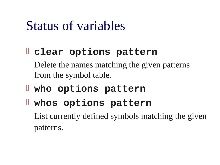### Status of variables

### **clear options pattern**

- Delete the names matching the given patterns from the symbol table.
- **who options pattern**
- **whos options pattern**

List currently defined symbols matching the given patterns.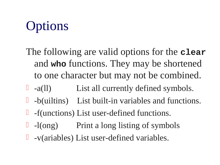# **Options**

- The following are valid options for the **clear** and **who** functions. They may be shortened to one character but may not be combined.
- $\Box$  -a(ll) List all currently defined symbols.
- -b(uiltins) List built-in variables and functions.
- $\Box$  -f(unctions) List user-defined functions.
- -l(ong) Print a long listing of symbols
- $\Box$  -v(ariables) List user-defined variables.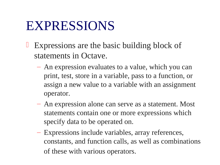### EXPRESSIONS

- Expressions are the basic building block of statements in Octave.
	- An expression evaluates to a value, which you can print, test, store in a variable, pass to a function, or assign a new value to a variable with an assignment operator.
	- An expression alone can serve as a statement. Most statements contain one or more expressions which specify data to be operated on.
	- Expressions include variables, array references, constants, and function calls, as well as combinations of these with various operators.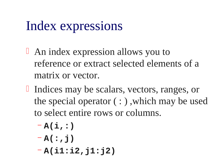## Index expressions

- An index expression allows you to reference or extract selected elements of a matrix or vector.
- If Indices may be scalars, vectors, ranges, or the special operator  $( : )$ , which may be used to select entire rows or columns.
	- **A(i,:)**
	- **A(:,j)**
	- **A(i1:i2,j1:j2)**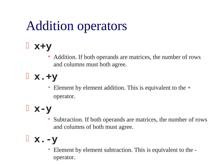# Addition operators

### **x+y**

- Addition. If both operands are matrices, the number of rows and columns must both agree.
- **x.+y**
	- Element by element addition. This is equivalent to the  $+$ operator.

### **x-y**

• Subtraction. If both operands are matrices, the number of rows and columns of both must agree.

### **x.-y**

• Element by element subtraction. This is equivalent to the operator.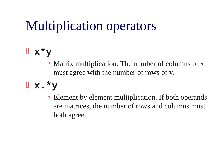# Multiplication operators

### **x\*y**

• Matrix multiplication. The number of columns of x must agree with the number of rows of y.

### **x.\*y**

• Element by element multiplication. If both operands are matrices, the number of rows and columns must both agree.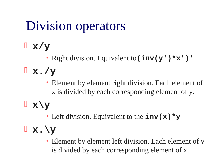# Division operators

**x/y** 

• Right division. Equivalent to**(inv(y')\*x')'**

**x./y** 

• Element by element right division. Each element of x is divided by each corresponding element of y.

**x\y**

• Left division. Equivalent to the **inv(x)\*y**

**x.\y**

• Element by element left division. Each element of y is divided by each corresponding element of x.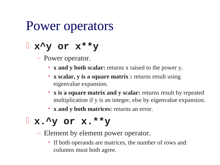### Power operators

### **x^y or x\*\*y**

– Power operator.

- **x and y both scalar:** returns x raised to the power y.
- **x scalar, y is a square matrix :** returns result using eigenvalue expansion.
- **x is a square matrix and y scalar:** returns result by repeated multiplication if y is an integer, else by eigenvalue expansion.
- **x and y both matrices:** returns an error.

### **x.^y or x.\*\*y**

- Element by element power operator.
	- If both operands are matrices, the number of rows and columns must both agree.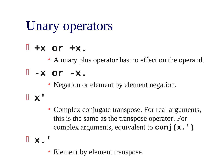# Unary operators

### **+x or +x.**

• A unary plus operator has no effect on the operand.

### **-x or -x.**

- Negation or element by element negation.
- **x'**
- Complex conjugate transpose. For real arguments, this is the same as the transpose operator. For complex arguments, equivalent to **conj(x.')**
- **x.'**
	- Element by element transpose.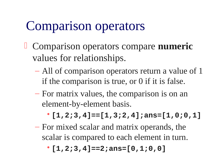## Comparison operators

- Comparison operators compare **numeric**  values for relationships.
	- All of comparison operators return a value of 1 if the comparison is true, or 0 if it is false.
	- For matrix values, the comparison is on an element-by-element basis.
		- •**[1,2;3,4]==[1,3;2,4];ans=[1,0;0,1]**
	- For mixed scalar and matrix operands, the scalar is compared to each element in turn.
		- •**[1,2;3,4]==2;ans=[0,1;0,0]**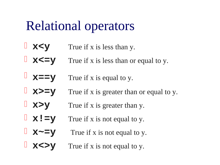### Relational operators

- **x**  $\mathbf{y}$  True if x is less than y.
- **XXEY** True if x is less than or equal to y.
- **X==y** True if x is equal to y.
- **x>=y** True if x is greater than or equal to y.
- **x>y** True if x is greater than y.
- **X!**  $=$ **y** True if x is not equal to y.
- $\blacksquare$  **X~=V** True if x is not equal to y.
- **x**  $\leq$  **y** True if x is not equal to y.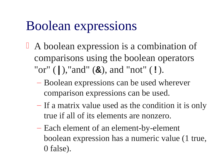### Boolean expressions

- A boolean expression is a combination of comparisons using the boolean operators "or" (**|**),"and" (**&**), and "not" (**!**).
	- Boolean expressions can be used wherever comparison expressions can be used.
	- If a matrix value used as the condition it is only true if all of its elements are nonzero.
	- Each element of an element-by-element boolean expression has a numeric value (1 true, 0 false).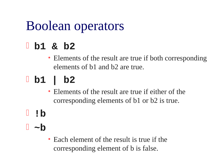## Boolean operators

### **b1 & b2**

• Elements of the result are true if both corresponding elements of b1 and b2 are true.

## **b1 | b2**

- Elements of the result are true if either of the corresponding elements of b1 or b2 is true.
- **!b**
- **~b**
	- Each element of the result is true if the corresponding element of b is false.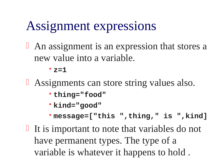### Assignment expressions

**An assignment is an expression that stores a** new value into a variable.

#### •**z=1**

- **Assignments can store string values also.** 
	- •**thing="food"**
	- •**kind="good"**
	- •**message=["this ",thing," is ",kind]**
- If is important to note that variables do not have permanent types. The type of a variable is whatever it happens to hold .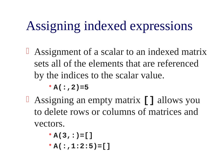# Assigning indexed expressions

**Assignment of a scalar to an indexed matrix** sets all of the elements that are referenced by the indices to the scalar value.

 $\cdot$  A(:, 2)=5

- Assigning an empty matrix **[]** allows you to delete rows or columns of matrices and vectors.
	- •**A(3,:)=[]**
	- •**A(:,1:2:5)=[]**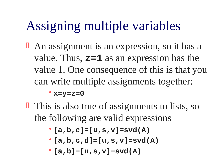# Assigning multiple variables

**An assignment is an expression, so it has a** value. Thus, **z=1** as an expression has the value 1. One consequence of this is that you can write multiple assignments together:

•**x=y=z=0**

- **This is also true of assignments to lists, so** the following are valid expressions
	- •**[a,b,c]=[u,s,v]=svd(A)**
	- •**[a,b,c,d]=[u,s,v]=svd(A)**
	- •**[a,b]=[u,s,v]=svd(A)**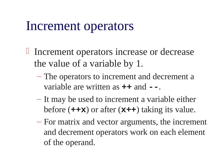### Increment operators

- $\Box$  Increment operators increase or decrease the value of a variable by 1.
	- The operators to increment and decrement a variable are written as **++** and **--**.
	- It may be used to increment a variable either before (**++x**) or after (**x++**) taking its value.
	- For matrix and vector arguments, the increment and decrement operators work on each element of the operand.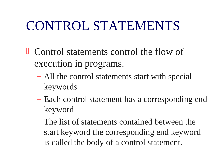## CONTROL STATEMENTS

- Control statements control the flow of execution in programs.
	- All the control statements start with special keywords
	- Each control statement has a corresponding end keyword
	- The list of statements contained between the start keyword the corresponding end keyword is called the body of a control statement.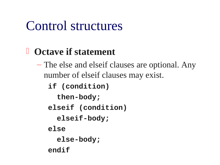### Control structures

### **Octave if statement**

– The else and elseif clauses are optional. Any number of elseif clauses may exist.

**if (condition) then-body; elseif (condition) elseif-body; else else-body; endif**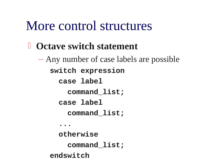### More control structures

- **Octave switch statement**
	- Any number of case labels are possible **switch expression case label command\_list; case label command\_list; ... otherwise command\_list;**
		- **endswitch**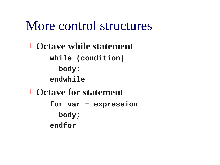### More control structures

 **Octave while statement while (condition) body; endwhile Octave for statement for var = expression body; endfor**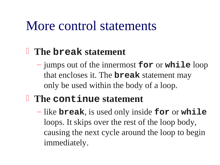### More control statements

### **The break statement**

– jumps out of the innermost **for** or **while** loop that encloses it. The **break** statement may only be used within the body of a loop.

### **The continue statement**

– like **break**, is used only inside **for** or **while** loops. It skips over the rest of the loop body, causing the next cycle around the loop to begin immediately.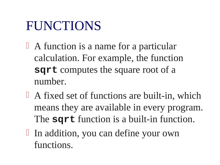## FUNCTIONS

- <sup>1</sup> A function is a name for a particular calculation. For example, the function **sqrt** computes the square root of a number.
- A fixed set of functions are built-in, which means they are available in every program. The **sqrt** function is a built-in function.
- I In addition, you can define your own functions.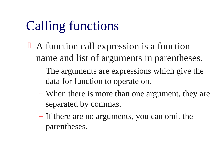# Calling functions

- A function call expression is a function name and list of arguments in parentheses.
	- The arguments are expressions which give the data for function to operate on.
	- When there is more than one argument, they are separated by commas.
	- If there are no arguments, you can omit the parentheses.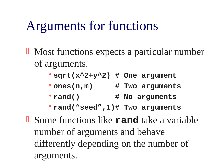## Arguments for functions

- **I** Most functions expects a particular number of arguments.
	- •**sqrt(x^2+y^2) # One argument**
	- •**ones(n,m) # Two arguments**
	- •**rand() # No arguments**
	- •**rand("seed",1)# Two arguments**
- Some functions like **rand** take a variable number of arguments and behave differently depending on the number of arguments.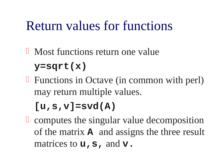### Return values for functions

- **I** Most functions return one value **y=sqrt(x)**
- **Functions in Octave (in common with perl)** may return multiple values.

### **[u,s,v]=svd(A)**

**C** computes the singular value decomposition of the matrix **A** and assigns the three result matrices to **u**, **s**, and **v**.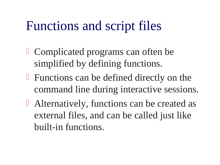### Functions and script files

- **Complicated programs can often be** simplified by defining functions.
- $\Box$  Functions can be defined directly on the command line during interactive sessions.
- **E** Alternatively, functions can be created as external files, and can be called just like built-in functions.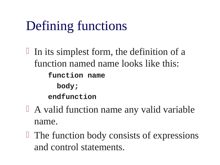# Defining functions

In its simplest form, the definition of a function named name looks like this: **function name body; endfunction**

- A valid function name any valid variable name.
- **The function body consists of expressions** and control statements.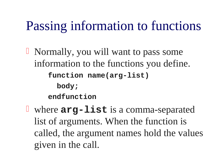## Passing information to functions

- Normally, you will want to pass some information to the functions you define. **function name(arg-list) body; endfunction**
- where **arg-list** is a comma-separated list of arguments. When the function is called, the argument names hold the values given in the call.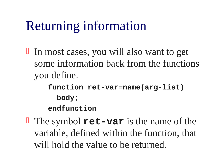# Returning information

 In most cases, you will also want to get some information back from the functions you define.

> **function ret-var=name(arg-list) body; endfunction**

**The symbol ret-var** is the name of the variable, defined within the function, that will hold the value to be returned.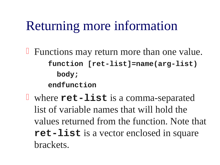## Returning more information

- **Functions may return more than one value. function [ret-list]=name(arg-list) body; endfunction**
- where **ret-list** is a comma-separated list of variable names that will hold the values returned from the function. Note that **ret-list** is a vector enclosed in square brackets.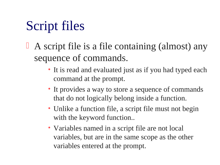# Script files

- $\Box$  A script file is a file containing (almost) any sequence of commands.
	- It is read and evaluated just as if you had typed each command at the prompt.
	- It provides a way to store a sequence of commands that do not logically belong inside a function.
	- Unlike a function file, a script file must not begin with the keyword function..
	- Variables named in a script file are not local variables, but are in the same scope as the other variables entered at the prompt.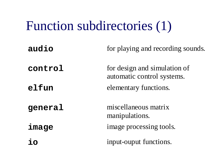# Function subdirectories (1)

| audio   | for playing and recording sounds.                          |
|---------|------------------------------------------------------------|
| control | for design and simulation of<br>automatic control systems. |
| elfun   | elementary functions.                                      |
| general | miscellaneous matrix<br>manipulations.                     |
| image   | image processing tools.                                    |
|         | input-ouput functions.                                     |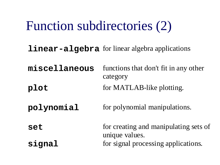# Function subdirectories (2)

**linear-algebra** for linear algebra applications

**miscellaneous** functions that don't fit in any other category **plot** for MATLAB-like plotting.

**polynomial** for polynomial manipulations.

**set for creating and manipulating sets of** unique values. **signal** for signal processing applications.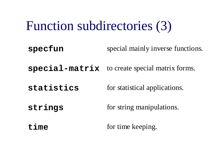# Function subdirectories (3)

**specfun** special mainly inverse functions.

**special-matrix** to create special matrix forms.

**statistics** for statistical applications.

**strings** for string manipulations.

**time** for time keeping.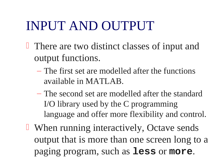## INPUT AND OUTPUT

- **There are two distinct classes of input and** output functions.
	- The first set are modelled after the functions available in MATLAB.
	- The second set are modelled after the standard I/O library used by the C programming language and offer more flexibility and control.
- **U** When running interactively, Octave sends output that is more than one screen long to a paging program, such as **less** or **more**.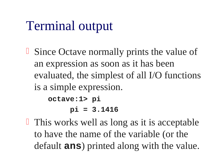# Terminal output

- **Since Octave normally prints the value of** an expression as soon as it has been evaluated, the simplest of all I/O functions is a simple expression. **octave:1> pi pi = 3.1416**
- $\Box$  This works well as long as it is acceptable to have the name of the variable (or the default **ans**) printed along with the value.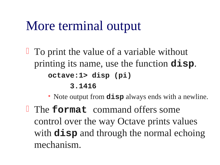### More terminal output

 $\Box$  To print the value of a variable without printing its name, use the function **disp**. **octave:1> disp (pi) 3.1416**

• Note output from **disp** always ends with a newline.

**The format** command offers some control over the way Octave prints values with **disp** and through the normal echoing mechanism.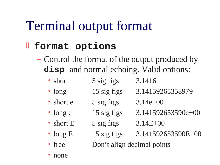# Terminal output format

#### **format options**

- Control the format of the output produced by **disp** and normal echoing. Valid options:
	- short 5 sig figs 3.1416
	- long 15 sig figs 3.14159265358979
	- short e  $5$  sig figs  $3.14e+00$
	- long e 15 sig figs 3.141592653590e+00
	- short E  $\qquad$  5 sig figs  $3.14E+00$
	- long E 15 sig figs 3.141592653590E+00
	- free Don't align decimal points
	- none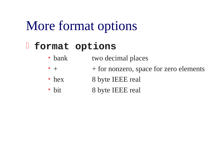### More format options

#### **format options**

- bank two decimal places
- $\bullet$  +  $\bullet$  + for nonzero, space for zero elements
- hex 8 byte IEEE real
- bit 8 byte IEEE real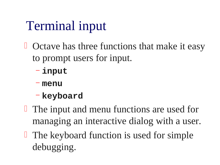# Terminal input

- $\Box$  Octave has three functions that make it easy to prompt users for input.
	- **input**
	- **menu**
	- **keyboard**
- **The input and menu functions are used for** managing an interactive dialog with a user.
- $\Box$  The keyboard function is used for simple debugging.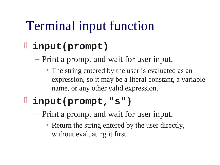# Terminal input function

### **input(prompt)**

– Print a prompt and wait for user input.

• The string entered by the user is evaluated as an expression, so it may be a literal constant, a variable name, or any other valid expression.

### **input(prompt,"s")**

- Print a prompt and wait for user input.
	- Return the string entered by the user directly, without evaluating it first.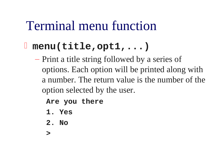### Terminal menu function

### **menu(title,opt1,...)**

– Print a title string followed by a series of options. Each option will be printed along with a number. The return value is the number of the option selected by the user.

**Are you there**

- **1. Yes**
- **2. No**
- **>**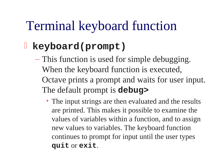## Terminal keyboard function

#### **keyboard(prompt)**

- This function is used for simple debugging. When the keyboard function is executed, Octave prints a prompt and waits for user input. The default prompt is **debug>**
	- The input strings are then evaluated and the results are printed. This makes it possible to examine the values of variables within a function, and to assign new values to variables. The keyboard function continues to prompt for input until the user types **quit** or **exit**.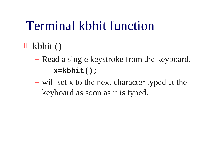# Terminal kbhit function

- $\mathbb{I}$  kbhit ()
	- Read a single keystroke from the keyboard. **x=kbhit();**
	- will set x to the next character typed at the keyboard as soon as it is typed.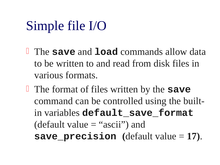# Simple file I/O

- The **save** and **load** commands allow data to be written to and read from disk files in various formats.
- The format of files written by the **save** command can be controlled using the builtin variables **default\_save\_format** (default value = "ascii") and **save\_precision (**default value = **17)**.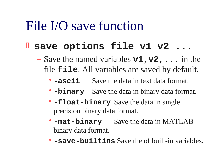### File I/O save function

#### **save options file v1 v2 ...**

- Save the named variables **v1,v2,...** in the file **file**. All variables are saved by default.
	- **-ascii** Save the data in text data format.
	- •**-binary** Save the data in binary data format.
	- •**-float-binary** Save the data in single precision binary data format.
	- •**-mat-binary** Save the data in MATLAB binary data format.
	- •**-save-builtins** Save the of built-in variables.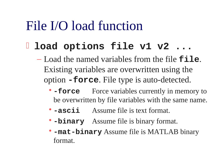### File I/O load function

#### **l** load options file v1 v2 ...

- Load the named variables from the file **file**. Existing variables are overwritten using the option **-force**. File type is auto-detected.
	- **force** Force variables currently in memory to be overwritten by file variables with the same name.
	- **-ascii** Assume file is text format.
	- •**-binary** Assume file is binary format.
	- •**-mat-binary** Assume file is MATLAB binary format.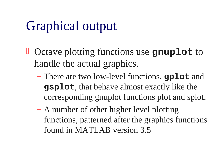# Graphical output

- Octave plotting functions use **gnuplot** to handle the actual graphics.
	- There are two low-level functions, **gplot** and **gsplot**, that behave almost exactly like the corresponding gnuplot functions plot and splot.
	- A number of other higher level plotting functions, patterned after the graphics functions found in MATLAB version 3.5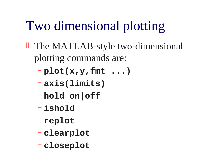# Two dimensional plotting

- **The MATLAB-style two-dimensional** plotting commands are:
	- **plot(x,y,fmt ...)**
	- **axis(limits)**
	- **hold on|off**
	- **ishold**
	- **replot**
	- **clearplot**
	- **closeplot**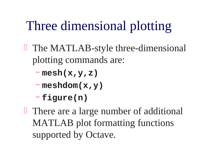# Three dimensional plotting

- **The MATLAB-style three-dimensional** plotting commands are:
	- **mesh(x,y,z)**
	- **meshdom(x,y)**
	- **figure(n)**
- **There are a large number of additional** MATLAB plot formatting functions supported by Octave.